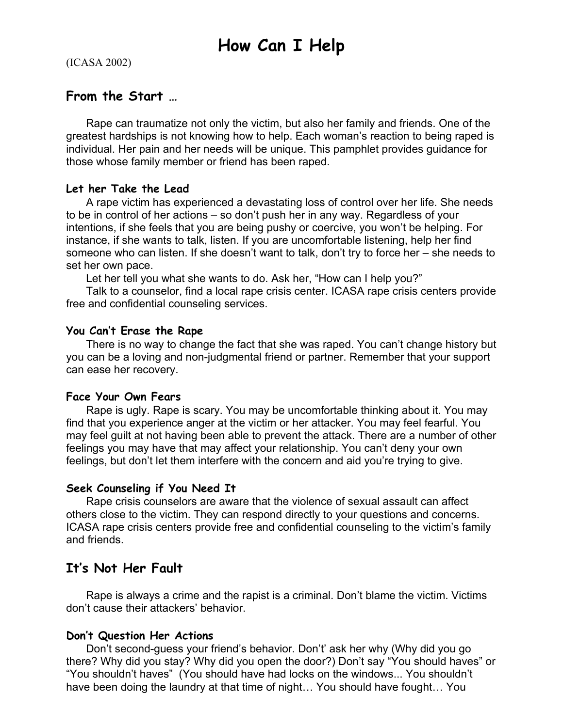(ICASA 2002)

# **From the Start …**

Rape can traumatize not only the victim, but also her family and friends. One of the greatest hardships is not knowing how to help. Each woman's reaction to being raped is individual. Her pain and her needs will be unique. This pamphlet provides guidance for those whose family member or friend has been raped.

## **Let her Take the Lead**

 A rape victim has experienced a devastating loss of control over her life. She needs to be in control of her actions – so don't push her in any way. Regardless of your intentions, if she feels that you are being pushy or coercive, you won't be helping. For instance, if she wants to talk, listen. If you are uncomfortable listening, help her find someone who can listen. If she doesn't want to talk, don't try to force her – she needs to set her own pace.

Let her tell you what she wants to do. Ask her, "How can I help you?"

 Talk to a counselor, find a local rape crisis center. ICASA rape crisis centers provide free and confidential counseling services.

## **You Can't Erase the Rape**

 There is no way to change the fact that she was raped. You can't change history but you can be a loving and non-judgmental friend or partner. Remember that your support can ease her recovery.

## **Face Your Own Fears**

 Rape is ugly. Rape is scary. You may be uncomfortable thinking about it. You may find that you experience anger at the victim or her attacker. You may feel fearful. You may feel guilt at not having been able to prevent the attack. There are a number of other feelings you may have that may affect your relationship. You can't deny your own feelings, but don't let them interfere with the concern and aid you're trying to give.

## **Seek Counseling if You Need It**

 Rape crisis counselors are aware that the violence of sexual assault can affect others close to the victim. They can respond directly to your questions and concerns. ICASA rape crisis centers provide free and confidential counseling to the victim's family and friends.

# **It's Not Her Fault**

 Rape is always a crime and the rapist is a criminal. Don't blame the victim. Victims don't cause their attackers' behavior.

## **Don't Question Her Actions**

 Don't second-guess your friend's behavior. Don't' ask her why (Why did you go there? Why did you stay? Why did you open the door?) Don't say "You should haves" or "You shouldn't haves" (You should have had locks on the windows... You shouldn't have been doing the laundry at that time of night… You should have fought… You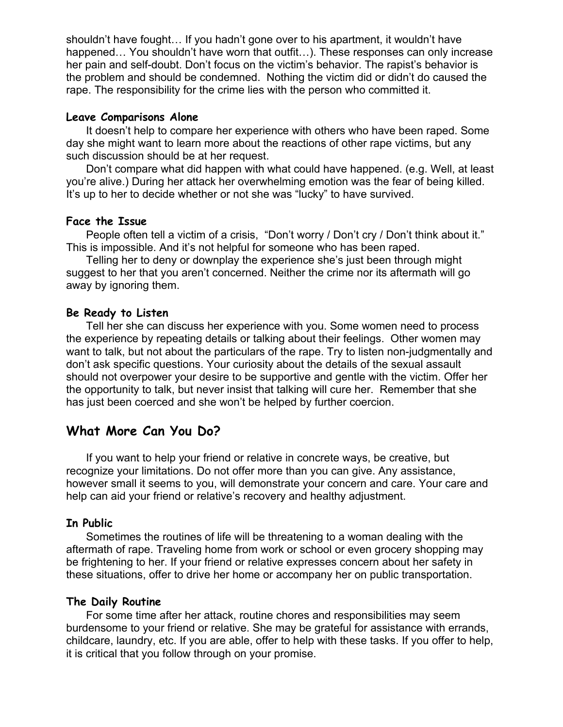shouldn't have fought… If you hadn't gone over to his apartment, it wouldn't have happened... You shouldn't have worn that outfit...). These responses can only increase her pain and self-doubt. Don't focus on the victim's behavior. The rapist's behavior is the problem and should be condemned. Nothing the victim did or didn't do caused the rape. The responsibility for the crime lies with the person who committed it.

#### **Leave Comparisons Alone**

 It doesn't help to compare her experience with others who have been raped. Some day she might want to learn more about the reactions of other rape victims, but any such discussion should be at her request.

Don't compare what did happen with what could have happened. (e.g. Well, at least you're alive.) During her attack her overwhelming emotion was the fear of being killed. It's up to her to decide whether or not she was "lucky" to have survived.

#### **Face the Issue**

People often tell a victim of a crisis, "Don't worry / Don't cry / Don't think about it." This is impossible. And it's not helpful for someone who has been raped.

Telling her to deny or downplay the experience she's just been through might suggest to her that you aren't concerned. Neither the crime nor its aftermath will go away by ignoring them.

#### **Be Ready to Listen**

 Tell her she can discuss her experience with you. Some women need to process the experience by repeating details or talking about their feelings. Other women may want to talk, but not about the particulars of the rape. Try to listen non-judgmentally and don't ask specific questions. Your curiosity about the details of the sexual assault should not overpower your desire to be supportive and gentle with the victim. Offer her the opportunity to talk, but never insist that talking will cure her. Remember that she has just been coerced and she won't be helped by further coercion.

## **What More Can You Do?**

If you want to help your friend or relative in concrete ways, be creative, but recognize your limitations. Do not offer more than you can give. Any assistance, however small it seems to you, will demonstrate your concern and care. Your care and help can aid your friend or relative's recovery and healthy adjustment.

#### **In Public**

 Sometimes the routines of life will be threatening to a woman dealing with the aftermath of rape. Traveling home from work or school or even grocery shopping may be frightening to her. If your friend or relative expresses concern about her safety in these situations, offer to drive her home or accompany her on public transportation.

#### **The Daily Routine**

 For some time after her attack, routine chores and responsibilities may seem burdensome to your friend or relative. She may be grateful for assistance with errands, childcare, laundry, etc. If you are able, offer to help with these tasks. If you offer to help, it is critical that you follow through on your promise.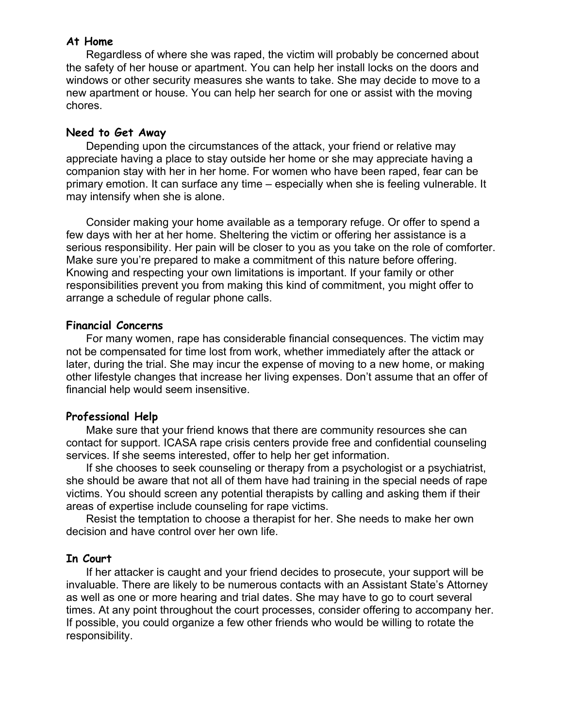#### **At Home**

 Regardless of where she was raped, the victim will probably be concerned about the safety of her house or apartment. You can help her install locks on the doors and windows or other security measures she wants to take. She may decide to move to a new apartment or house. You can help her search for one or assist with the moving chores.

### **Need to Get Away**

 Depending upon the circumstances of the attack, your friend or relative may appreciate having a place to stay outside her home or she may appreciate having a companion stay with her in her home. For women who have been raped, fear can be primary emotion. It can surface any time – especially when she is feeling vulnerable. It may intensify when she is alone.

 Consider making your home available as a temporary refuge. Or offer to spend a few days with her at her home. Sheltering the victim or offering her assistance is a serious responsibility. Her pain will be closer to you as you take on the role of comforter. Make sure you're prepared to make a commitment of this nature before offering. Knowing and respecting your own limitations is important. If your family or other responsibilities prevent you from making this kind of commitment, you might offer to arrange a schedule of regular phone calls.

#### **Financial Concerns**

 For many women, rape has considerable financial consequences. The victim may not be compensated for time lost from work, whether immediately after the attack or later, during the trial. She may incur the expense of moving to a new home, or making other lifestyle changes that increase her living expenses. Don't assume that an offer of financial help would seem insensitive.

## **Professional Help**

 Make sure that your friend knows that there are community resources she can contact for support. ICASA rape crisis centers provide free and confidential counseling services. If she seems interested, offer to help her get information.

 If she chooses to seek counseling or therapy from a psychologist or a psychiatrist, she should be aware that not all of them have had training in the special needs of rape victims. You should screen any potential therapists by calling and asking them if their areas of expertise include counseling for rape victims.

Resist the temptation to choose a therapist for her. She needs to make her own decision and have control over her own life.

## **In Court**

 If her attacker is caught and your friend decides to prosecute, your support will be invaluable. There are likely to be numerous contacts with an Assistant State's Attorney as well as one or more hearing and trial dates. She may have to go to court several times. At any point throughout the court processes, consider offering to accompany her. If possible, you could organize a few other friends who would be willing to rotate the responsibility.